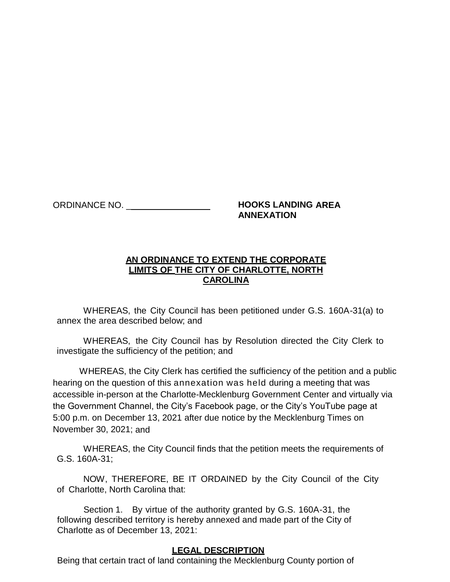## ORDINANCE NO. \_\_\_\_\_\_\_\_\_\_\_\_\_\_\_\_\_ **HOOKS LANDING AREA ANNEXATION**

## **AN ORDINANCE TO EXTEND THE CORPORATE LIMITS OF THE CITY OF CHARLOTTE, NORTH CAROLINA**

WHEREAS, the City Council has been petitioned under G.S. 160A-31(a) to annex the area described below; and

WHEREAS, the City Council has by Resolution directed the City Clerk to investigate the sufficiency of the petition; and

WHEREAS, the City Clerk has certified the sufficiency of the petition and a public hearing on the question of this annexation was held during a meeting that was accessible in-person at the Charlotte-Mecklenburg Government Center and virtually via the Government Channel, the City's Facebook page, or the City's YouTube page at 5:00 p.m. on December 13, 2021 after due notice by the Mecklenburg Times on November 30, 2021; and

WHEREAS, the City Council finds that the petition meets the requirements of G.S. 160A-31;

NOW, THEREFORE, BE IT ORDAINED by the City Council of the City of Charlotte, North Carolina that:

Section 1. By virtue of the authority granted by G.S. 160A-31, the following described territory is hereby annexed and made part of the City of Charlotte as of December 13, 2021:

## **LEGAL DESCRIPTION**

Being that certain tract of land containing the Mecklenburg County portion of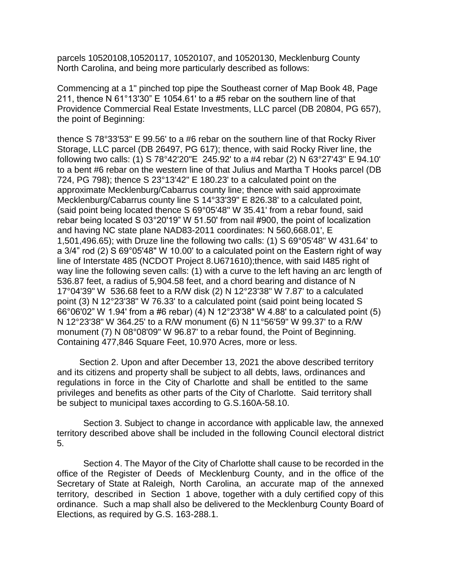parcels 10520108,10520117, 10520107, and 10520130, Mecklenburg County North Carolina, and being more particularly described as follows:

Commencing at a 1" pinched top pipe the Southeast corner of Map Book 48, Page 211, thence N 61°13'30" E 1054.61' to a #5 rebar on the southern line of that Providence Commercial Real Estate Investments, LLC parcel (DB 20804, PG 657), the point of Beginning:

thence S 78°33'53" E 99.56' to a #6 rebar on the southern line of that Rocky River Storage, LLC parcel (DB 26497, PG 617); thence, with said Rocky River line, the following two calls: (1) S 78°42'20"E 245.92' to a #4 rebar (2) N 63°27'43" E 94.10' to a bent #6 rebar on the western line of that Julius and Martha T Hooks parcel (DB 724, PG 798); thence S 23°13'42" E 180.23' to a calculated point on the approximate Mecklenburg/Cabarrus county line; thence with said approximate Mecklenburg/Cabarrus county line S 14°33'39" E 826.38' to a calculated point, (said point being located thence S 69°05'48" W 35.41' from a rebar found, said rebar being located S 03°20'19" W 51.50' from nail #900, the point of localization and having NC state plane NAD83-2011 coordinates: N 560,668.01', E 1,501,496.65); with Druze line the following two calls: (1) S 69°05'48" W 431.64' to a 3/4" rod (2) S 69°05'48" W 10.00' to a calculated point on the Eastern right of way line of Interstate 485 (NCDOT Project 8.U671610);thence, with said I485 right of way line the following seven calls: (1) with a curve to the left having an arc length of 536.87 feet, a radius of 5,904.58 feet, and a chord bearing and distance of N 17°04'39" W 536.68 feet to a R/W disk (2) N 12°23'38" W 7.87' to a calculated point (3) N 12°23'38" W 76.33' to a calculated point (said point being located S 66°06'02" W 1.94' from a #6 rebar) (4) N 12°23'38" W 4.88' to a calculated point (5) N 12°23'38" W 364.25' to a R/W monument (6) N 11°56'59" W 99.37' to a R/W monument (7) N 08°08'09" W 96.87' to a rebar found, the Point of Beginning. Containing 477,846 Square Feet, 10.970 Acres, more or less.

Section 2. Upon and after December 13, 2021 the above described territory and its citizens and property shall be subject to all debts, laws, ordinances and regulations in force in the City of Charlotte and shall be entitled to the same privileges and benefits as other parts of the City of Charlotte. Said territory shall be subject to municipal taxes according to G.S.160A-58.10.

Section 3. Subject to change in accordance with applicable law, the annexed territory described above shall be included in the following Council electoral district 5.

Section 4. The Mayor of the City of Charlotte shall cause to be recorded in the office of the Register of Deeds of Mecklenburg County, and in the office of the Secretary of State at Raleigh, North Carolina, an accurate map of the annexed territory, described in Section 1 above, together with a duly certified copy of this ordinance. Such a map shall also be delivered to the Mecklenburg County Board of Elections, as required by G.S. 163-288.1.